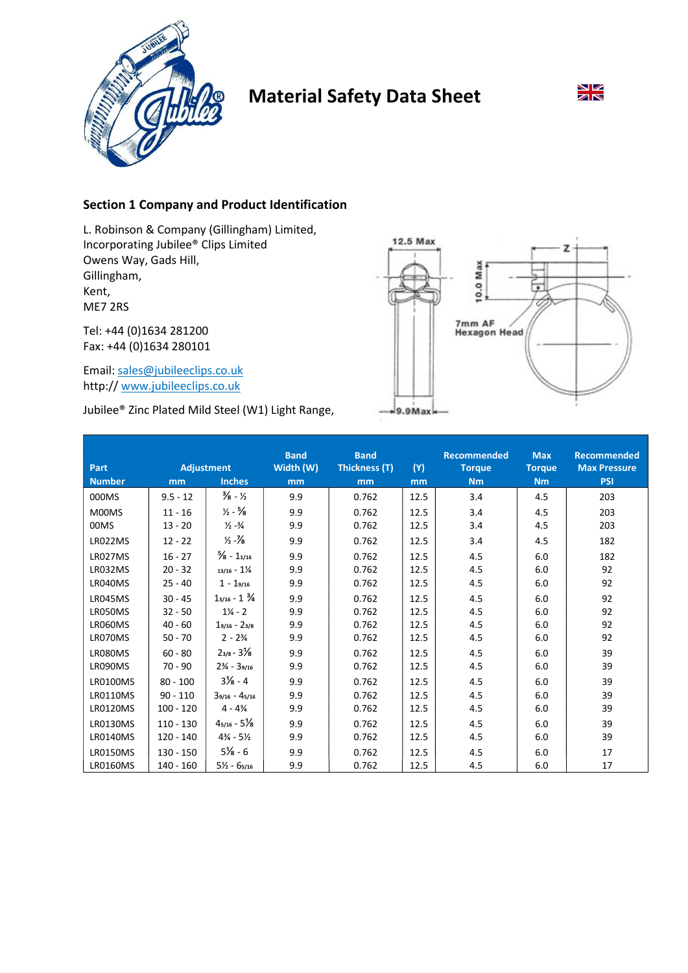

# Material Safety Data Sheet



# Section 1 Company and Product Identification

L. Robinson & Company (Gillingham) Limited, Incorporating Jubilee® Clips Limited Owens Way, Gads Hill, Gillingham, Kent, ME7 2RS

Tel: +44 (0)1634 281200 Fax: +44 (0)1634 280101

Email: sales@jubileeclips.co.uk http:// www.jubileeclips.co.uk

Jubilee® Zinc Plated Mild Steel (W1) Light Range,



| <b>Part</b>     |             | <b>Adjustment</b>                | <b>Band</b><br>Width (W) | <b>Band</b><br>Thickness (T) | (Y)  | <b>Recommended</b><br><b>Torque</b> | <b>Max</b><br><b>Torque</b> | <b>Recommended</b><br><b>Max Pressure</b> |
|-----------------|-------------|----------------------------------|--------------------------|------------------------------|------|-------------------------------------|-----------------------------|-------------------------------------------|
| <b>Number</b>   | mm          | <b>Inches</b>                    | mm                       | mm                           | mm   | <b>Nm</b>                           | <b>Nm</b>                   | <b>PSI</b>                                |
| 000MS           | $9.5 - 12$  | $\frac{3}{8}$ - $\frac{1}{2}$    | 9.9                      | 0.762                        | 12.5 | 3.4                                 | 4.5                         | 203                                       |
| M00MS           | $11 - 16$   | $\frac{1}{2} - \frac{5}{8}$      | 9.9                      | 0.762                        | 12.5 | 3.4                                 | 4.5                         | 203                                       |
| 00MS            | $13 - 20$   | $\frac{1}{2} - \frac{3}{4}$      | 9.9                      | 0.762                        | 12.5 | 3.4                                 | 4.5                         | 203                                       |
| LR022MS         | $12 - 22$   | $\frac{1}{2} - \frac{1}{8}$      | 9.9                      | 0.762                        | 12.5 | 3.4                                 | 4.5                         | 182                                       |
| LR027MS         | $16 - 27$   | $\frac{5}{8}$ - 11/16            | 9.9                      | 0.762                        | 12.5 | 4.5                                 | 6.0                         | 182                                       |
| LR032MS         | $20 - 32$   | $13/16 - 1\frac{1}{4}$           | 9.9                      | 0.762                        | 12.5 | 4.5                                 | 6.0                         | 92                                        |
| LR040MS         | $25 - 40$   | $1 - 19/16$                      | 9.9                      | 0.762                        | 12.5 | 4.5                                 | 6.0                         | 92                                        |
| LR045MS         | $30 - 45$   | $1_{3/16} - 1 \frac{3}{4}$       | 9.9                      | 0.762                        | 12.5 | 4.5                                 | 6.0                         | 92                                        |
| LR050MS         | $32 - 50$   | $1\frac{1}{4}$ - 2               | 9.9                      | 0.762                        | 12.5 | 4.5                                 | 6.0                         | 92                                        |
| LR060MS         | $40 - 60$   | $19/16 - 23/8$                   | 9.9                      | 0.762                        | 12.5 | 4.5                                 | 6.0                         | 92                                        |
| LR070MS         | $50 - 70$   | $2 - 2\frac{3}{4}$               | 9.9                      | 0.762                        | 12.5 | 4.5                                 | 6.0                         | 92                                        |
| LR080MS         | $60 - 80$   | $2_{3/8} - 3\frac{1}{8}$         | 9.9                      | 0.762                        | 12.5 | 4.5                                 | 6.0                         | 39                                        |
| LR090MS         | $70 - 90$   | $2\frac{3}{4}$ - 39/16           | 9.9                      | 0.762                        | 12.5 | 4.5                                 | 6.0                         | 39                                        |
| <b>LR0100MS</b> | $80 - 100$  | $3\frac{1}{8} - 4$               | 9.9                      | 0.762                        | 12.5 | 4.5                                 | 6.0                         | 39                                        |
| <b>LR0110MS</b> | $90 - 110$  | $39/16 - 45/16$                  | 9.9                      | 0.762                        | 12.5 | 4.5                                 | 6.0                         | 39                                        |
| <b>LR0120MS</b> | $100 - 120$ | $4 - 4\frac{3}{4}$               | 9.9                      | 0.762                        | 12.5 | 4.5                                 | 6.0                         | 39                                        |
| <b>LR0130MS</b> | $110 - 130$ | $4_{5/16} - 5\frac{1}{8}$        | 9.9                      | 0.762                        | 12.5 | 4.5                                 | 6.0                         | 39                                        |
| <b>LR0140MS</b> | $120 - 140$ | $4\frac{3}{4}$ - 5 $\frac{1}{2}$ | 9.9                      | 0.762                        | 12.5 | 4.5                                 | 6.0                         | 39                                        |
| <b>LR0150MS</b> | $130 - 150$ | $5\frac{1}{8} - 6$               | 9.9                      | 0.762                        | 12.5 | 4.5                                 | 6.0                         | 17                                        |
| <b>LR0160MS</b> | $140 - 160$ | $5\frac{1}{2} - 65/16$           | 9.9                      | 0.762                        | 12.5 | 4.5                                 | 6.0                         | 17                                        |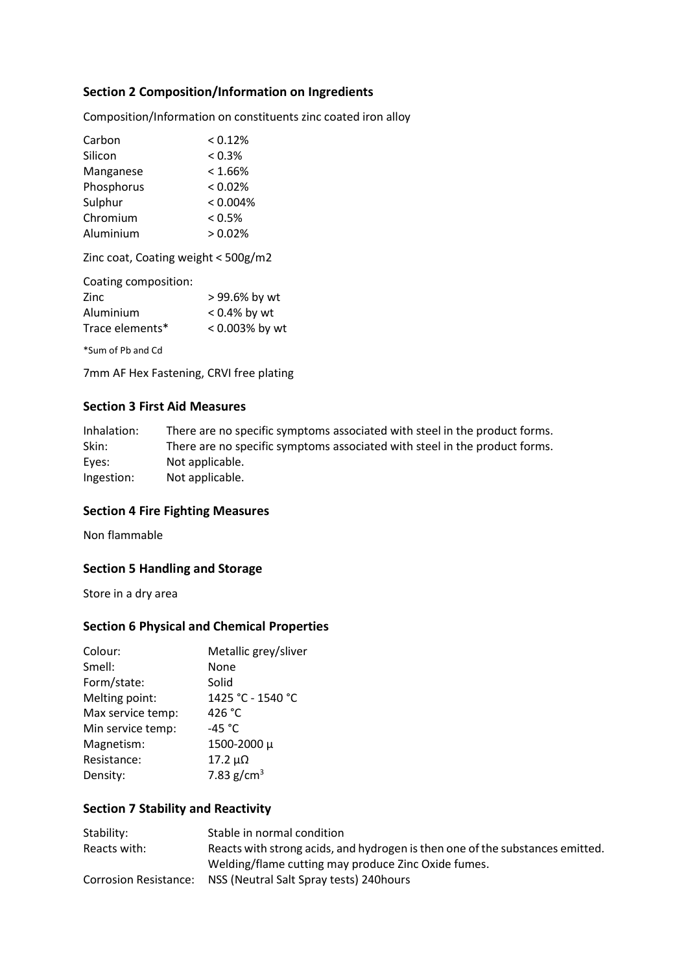# Section 2 Composition/Information on Ingredients

Composition/Information on constituents zinc coated iron alloy

| Carbon     | < 0.12%    |
|------------|------------|
| Silicon    | < 0.3%     |
| Manganese  | $< 1.66\%$ |
| Phosphorus | $< 0.02\%$ |
| Sulphur    | < 0.004%   |
| Chromium   | < 0.5%     |
| Aluminium  | > 0.02%    |

Zinc coat, Coating weight < 500g/m2

| > 99.6% by wt   |
|-----------------|
| $< 0.4\%$ by wt |
| < 0.003% by wt  |
|                 |

\*Sum of Pb and Cd

7mm AF Hex Fastening, CRVI free plating

#### Section 3 First Aid Measures

| Inhalation: | There are no specific symptoms associated with steel in the product forms. |
|-------------|----------------------------------------------------------------------------|
| Skin:       | There are no specific symptoms associated with steel in the product forms. |
| Eyes:       | Not applicable.                                                            |
| Ingestion:  | Not applicable.                                                            |

#### Section 4 Fire Fighting Measures

Non flammable

# Section 5 Handling and Storage

Store in a dry area

#### Section 6 Physical and Chemical Properties

| Colour:           | Metallic grey/sliver |
|-------------------|----------------------|
| Smell:            | None                 |
| Form/state:       | Solid                |
| Melting point:    | 1425 °C - 1540 °C    |
| Max service temp: | 426 °C               |
| Min service temp: | -45 $^{\circ}$ C     |
| Magnetism:        | 1500-2000 µ          |
| Resistance:       | $17.2 \mu\Omega$     |
| Density:          | 7.83 $g/cm^{3}$      |
|                   |                      |

## Section 7 Stability and Reactivity

| Stability:   | Stable in normal condition                                                    |
|--------------|-------------------------------------------------------------------------------|
| Reacts with: | Reacts with strong acids, and hydrogen is then one of the substances emitted. |
|              | Welding/flame cutting may produce Zinc Oxide fumes.                           |
|              | Corrosion Resistance: NSS (Neutral Salt Spray tests) 240 hours                |